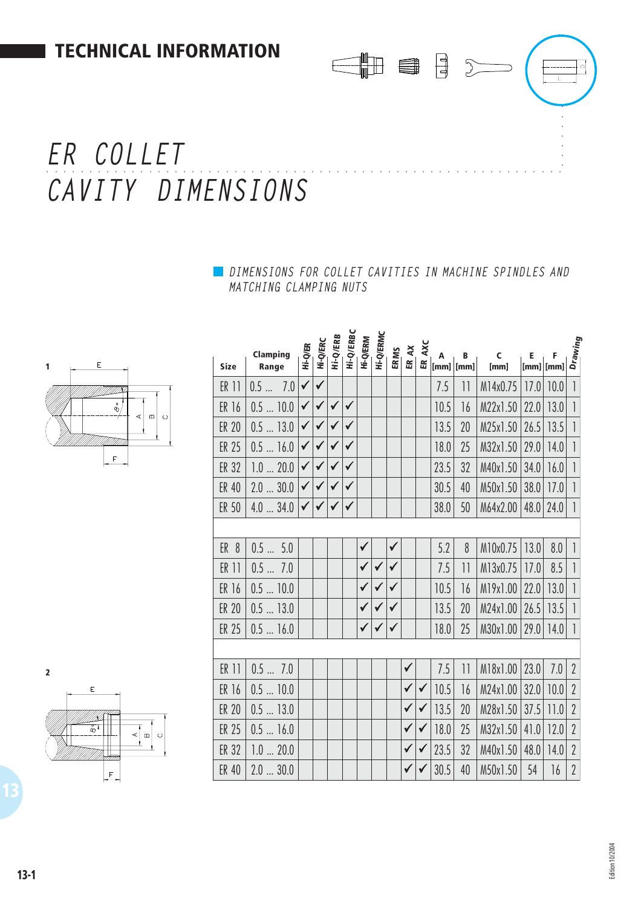# ○○○○ ○○○○○○○○○○○○○○○○○○○○○○○○○○○○○○○○○○○○○○○○○○○○○○○○○○○○○○○○○ *ER COLLET CAVITY DIMENSIONS*

*DIMENSIONS FOR COLLET CAVITIES IN MACHINE SPINDLES AND MATCHING CLAMPING NUTS*

CHB BB 3



| Ε<br>1                                        | <b>Size</b>     | Clamping<br>Range | Hi-Q/ER      | <b>Hi-Q/ERC</b> | Hi-Q/ERB     | Hi-Q/ERBC    | <b>Hi-Q/ERM</b> | <b>Hi-Q/ERMC</b> | <b>ERMS</b>  | $\lambda$<br>$\mathbbmss{E}$ | AXC<br>Æ     | A<br>$ $ [mm] $ $ [mm] | В                        | C<br>[mm] |      | $\begin{bmatrix} E & F & \bar{g} \\ \hline \bar{g} & \bar{g} \\ [mm] [mm] [mm] \end{bmatrix}$ |                          |
|-----------------------------------------------|-----------------|-------------------|--------------|-----------------|--------------|--------------|-----------------|------------------|--------------|------------------------------|--------------|------------------------|--------------------------|-----------|------|-----------------------------------------------------------------------------------------------|--------------------------|
|                                               | ER 11           | 0.57.0            | $\checkmark$ | $\checkmark$    |              |              |                 |                  |              |                              |              | 7.5                    | $\overline{\phantom{a}}$ | M14x0.75  | 7.0  | 10.0                                                                                          |                          |
| $\bullet$<br>Ø.<br>$\boldsymbol{\omega}$<br>⋖ | ER 16           | 0.510.0           | $\checkmark$ | $\checkmark$    | $\checkmark$ | $\checkmark$ |                 |                  |              |                              |              | 10.5                   | 16                       | M22x1.50  | 22.0 | 13.0                                                                                          |                          |
| $\circ$                                       | <b>ER 20</b>    | 0.513.0           |              |                 | $\checkmark$ | $\checkmark$ |                 |                  |              |                              |              | 13.5                   | 20                       | M25x1.50  | 26.5 | 3.5                                                                                           | $\overline{\phantom{a}}$ |
|                                               | <b>ER 25</b>    | $0.5$ 16.0        | $\checkmark$ | $\checkmark$    | $\checkmark$ | $\checkmark$ |                 |                  |              |                              |              | 18.0                   | 25                       | M32x1.50  |      | $29.0$   14.0                                                                                 |                          |
| $\mathsf F$                                   | <b>ER 32</b>    | 1.020.0           | $\checkmark$ |                 | $\checkmark$ | $\checkmark$ |                 |                  |              |                              |              | 23.5                   | 32                       | M40x1.50  | 34.0 | 16.0                                                                                          |                          |
|                                               | ER 40           | 2.030.0           | $\checkmark$ | ✔               | $\checkmark$ | $\checkmark$ |                 |                  |              |                              |              | 30.5                   | 40                       | M50x1.50  | 38.0 | 17.0                                                                                          |                          |
|                                               | ER 50           | 4.034.0           | $\checkmark$ | $\checkmark$    | $\checkmark$ | $\checkmark$ |                 |                  |              |                              |              | 38.0                   | 50                       | M64x2.00  |      | $48.0$ 24.0                                                                                   | $\overline{\phantom{a}}$ |
|                                               |                 |                   |              |                 |              |              |                 |                  |              |                              |              |                        |                          |           |      |                                                                                               |                          |
|                                               | ER <sub>8</sub> | 0.55.0            |              |                 |              |              | ✔               |                  | ✔            |                              |              | 5.2                    | 8                        | M10x0.75  | 13.0 | 8.0                                                                                           |                          |
|                                               | ER 11           | 0.57.0            |              |                 |              |              | $\checkmark$    | $\checkmark$     | $\checkmark$ |                              |              | 7.5                    | $  \cdot  $              | M13x0.75  | 17.0 | 8.5                                                                                           |                          |
|                                               | ER 16           | $0.5$ 10.0        |              |                 |              |              | $\checkmark$    | $\checkmark$     | $\checkmark$ |                              |              | 10.5                   | 16                       | M19x1.00  | 22.0 | 13.0                                                                                          |                          |
|                                               | <b>ER 20</b>    | $0.5$ 13.0        |              |                 |              |              | $\checkmark$    | $\checkmark$     | $\checkmark$ |                              |              | 13.5                   | 20                       | M24x1.00  | 26.5 | 3.5                                                                                           |                          |
|                                               | <b>ER 25</b>    | 0.516.0           |              |                 |              |              | $\checkmark$    | ✔                | ✔            |                              |              | 18.0                   | 25                       | M30x1.00  | 29.0 | 14.0                                                                                          |                          |
|                                               |                 |                   |              |                 |              |              |                 |                  |              |                              |              |                        |                          |           |      |                                                                                               |                          |
| $\overline{\mathbf{z}}$                       | ER 11           | 0.57.0            |              |                 |              |              |                 |                  |              | $\checkmark$                 |              | 7.5                    | $\lceil \rceil$          | M18x1.00  | 23.0 | 7.0                                                                                           | $\overline{2}$           |
| E                                             | ER 16           | 0.510.0           |              |                 |              |              |                 |                  |              | $\checkmark$                 | $\checkmark$ | 10.5                   | 16                       | M24x1.00  | 32.0 | 10.0                                                                                          | $\sqrt{2}$               |
|                                               | <b>ER 20</b>    | $0.5$ 13.0        |              |                 |              |              |                 |                  |              | $\checkmark$                 | $\checkmark$ | 13.5                   | 20                       | M28x1.50  | 37.5 | 11.0                                                                                          | $\sqrt{2}$               |
| $\delta$<br>⋖<br>$\Omega$<br>$\circ$          | ER 25           | 0.516.0           |              |                 |              |              |                 |                  |              | $\checkmark$                 | $\checkmark$ | 18.0                   | 25                       | M32x1.50  | 41.0 | 12.0                                                                                          | $\sqrt{2}$               |
|                                               | ER 32           | 1.020.0           |              |                 |              |              |                 |                  |              | $\checkmark$                 | $\checkmark$ | 23.5                   | 32                       | M40x1.50  | 48.0 | 14.0                                                                                          | $\sqrt{2}$               |
| F                                             | <b>ER 40</b>    | 2.030.0           |              |                 |              |              |                 |                  |              | ✔                            |              | 30.5                   | 40                       | M50x1.50  | 54   | 16                                                                                            | $\sqrt{2}$               |
|                                               |                 |                   |              |                 |              |              |                 |                  |              |                              |              |                        |                          |           |      |                                                                                               |                          |



Edition 10/2004 Edition 10/2004

○○○○○○○

 $\overline{\mathbf{L}}$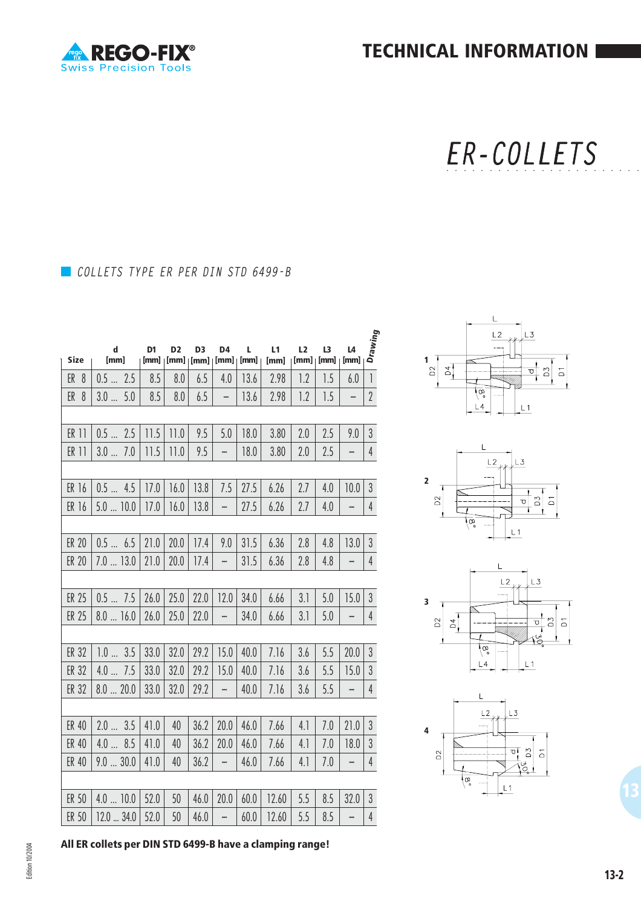

**TECHNICAL INFORMATION**

ER-COLLETS ○○○○○○○○○○○○○○○○○○○○○○○

## *COLLETS TYPE ER PER DIN STD 6499-B*

**REGO-FIX®** 

**Swiss Precision Tools** 

|                 | $\mathbf d$   | D <sub>1</sub> | D <sub>2</sub>                       | D <sub>3</sub> | D4                       | L    | L1    | L2   | L <sub>3</sub> | L4             | Drawing        |
|-----------------|---------------|----------------|--------------------------------------|----------------|--------------------------|------|-------|------|----------------|----------------|----------------|
| Size            | [mm]          |                | $[mm]   [mm]   [mm]   [mm]   [mm]  $ |                |                          | [mm] | [mm]  | [mm] | [mm]           | [mm]           |                |
| ER <sub>8</sub> | 0.52.5        | 8.5            | 8.0                                  | 6.5            | 4.0                      | 13.6 | 2.98  | 1.2  | 1.5            | 6.0            | $\mathbf{1}$   |
| ER <sub>8</sub> | 3.05.0        | 8.5            | 8.0                                  | 6.5            | -                        | 13.6 | 2.98  | 1.2  | 1.5            | -              | $\overline{2}$ |
|                 |               |                |                                      |                |                          |      |       |      |                |                |                |
| ER 11           | 0.52.5        | 11.5           | 11.0                                 | 9.5            | 5.0                      | 18.0 | 3.80  | 2.0  | 2.5            | 9.0            | $\overline{3}$ |
| ER 11           | 3.07.0        | 11.5           | 11.0                                 | 9.5            | $\overline{\phantom{0}}$ | 18.0 | 3.80  | 2.0  | 2.5            | -              | $\overline{4}$ |
|                 |               |                |                                      |                |                          |      |       |      |                |                |                |
| ER 16           | 0.54.5        | 17.0           | 16.0                                 | 13.8           | 7.5                      | 27.5 | 6.26  | 2.7  | 4.0            | 10.0           | $\mathfrak{Z}$ |
| ER 16           | $5.0$ 10.0    | 17.0           | 16.0                                 | 13.8           | $\overline{\phantom{0}}$ | 27.5 | 6.26  | 2.7  | 4.0            | -              | $\overline{4}$ |
|                 |               |                |                                      |                |                          |      |       |      |                |                |                |
| <b>ER 20</b>    | 0.5 6.5       | 21.0           | 20.0                                 | 17.4           | 9.0                      | 31.5 | 6.36  | 2.8  | 4.8            | 13.0           | $\mathfrak{Z}$ |
| <b>ER 20</b>    | $7.0$ 13.0    | 21.0           | 20.0                                 | 17.4           | -                        | 31.5 | 6.36  | 2.8  | 4.8            |                | $\overline{4}$ |
|                 |               |                |                                      |                |                          |      |       |      |                |                |                |
| ER 25           | 0.57.5        | 26.0           | 25.0                                 | 22.0           | 12.0                     | 34.0 | 6.66  | 3.1  | 5.0            | 15.0           | $\mathfrak{Z}$ |
| <b>ER 25</b>    | 8.016.0       | 26.0           | 25.0                                 | 22.0           | $\overline{\phantom{0}}$ | 34.0 | 6.66  | 3.1  | 5.0            | -              | $\overline{4}$ |
|                 |               |                |                                      |                |                          |      |       |      |                |                |                |
| ER 32           | 1.03.5        | 33.0           | 32.0                                 | 29.2           | 15.0                     | 40.0 | 7.16  | 3.6  | 5.5            | 20.0           | $\mathfrak{Z}$ |
| ER 32           | 4.07.5        | 33.0           | 32.0                                 | 29.2           | 15.0                     | 40.0 | 7.16  | 3.6  | 5.5            | 15.0           | $\mathfrak{Z}$ |
| ER 32           | 8.020.0       | 33.0           | 32.0                                 | 29.2           | -                        | 40.0 | 7.16  | 3.6  | 5.5            | -              | $\overline{4}$ |
|                 |               |                |                                      |                |                          |      |       |      |                |                |                |
| ER 40           | 2.03.5        | 41.0           | 40                                   | 36.2           | 20.0                     | 46.0 | 7.66  | 4.1  | 7.0            | 21.0           | $\mathfrak{Z}$ |
| ER 40           | 4.08.5        | 41.0           | 40                                   | 36.2           | 20.0                     | 46.0 | 7.66  | 4.1  | 7.0            | 18.0           | $\overline{3}$ |
| ER 40           | 9.030.0       | 41.0           | 40                                   | 36.2           | $\overline{\phantom{0}}$ | 46.0 | 7.66  | 4.1  | 7.0            | -              | $\overline{4}$ |
|                 |               |                |                                      |                |                          |      |       |      |                |                |                |
| ER 50           | 4.010.0       | 52.0           | 50                                   | 46.0           | 20.0                     | 60.0 | 12.60 | 5.5  | 8.5            | 32.0           | $\mathfrak{Z}$ |
| ER 50           | $12.0 - 34.0$ | 52.0           | 50                                   | 46.0           | $\blacksquare$           | 60.0 | 12.60 | 5.5  | 8.5            | $\overline{a}$ | $\overline{4}$ |









**All ER collets per DIN STD 6499-B have a clamping range!**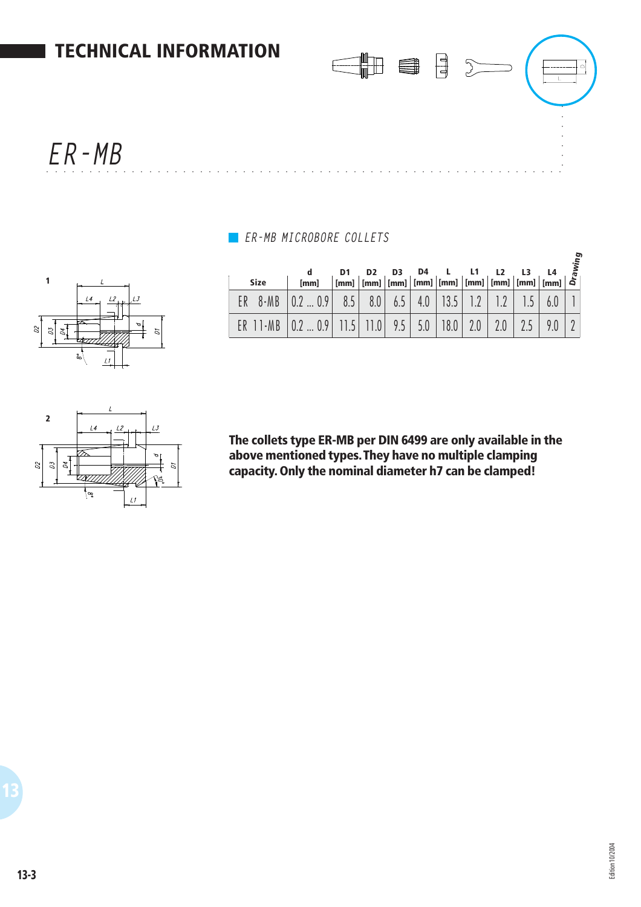

### *ER-MB MICROBORE COLLETS*

|                               |                             |    |           |            |     |                |                                                                                                                                                                                                                                                                                                                                                                                                                                                                                                         |                |               |        |        |                                | ρg |
|-------------------------------|-----------------------------|----|-----------|------------|-----|----------------|---------------------------------------------------------------------------------------------------------------------------------------------------------------------------------------------------------------------------------------------------------------------------------------------------------------------------------------------------------------------------------------------------------------------------------------------------------------------------------------------------------|----------------|---------------|--------|--------|--------------------------------|----|
|                               |                             |    |           | a          | D1  | D <sub>2</sub> | D3                                                                                                                                                                                                                                                                                                                                                                                                                                                                                                      | D <sub>4</sub> |               | L1     |        | L4                             | £, |
|                               |                             |    | Size      | [mm]       |     |                | $\lceil \mathsf{mm} \rceil \mid \lceil \mathsf{mm} \rceil \mid \lceil \mathsf{mm} \rceil \mid \lceil \mathsf{mm} \rceil \mid \lceil \mathsf{mm} \rceil \mid \lceil \mathsf{mm} \rceil \mid \lceil \mathsf{mm} \rceil \mid \lceil \mathsf{mm} \rceil \mid \lceil \mathsf{mm} \rceil \mid \lceil \mathsf{mm} \rceil \mid \lceil \mathsf{mm} \rceil \mid \lceil \mathsf{mm} \rceil \mid \lceil \mathsf{mm} \rceil \mid \lceil \mathsf{mm} \rceil \mid \lceil \mathsf{mm} \rceil \mid \lceil \mathsf{mm} \$ |                |               |        |        | [mm]   [mm]   [mm]   [mm]   ລັ |    |
|                               | $-4$                        | ER | $8-MB$    | 0.9<br>0.2 | 8.5 | 8.0            | 6.5                                                                                                                                                                                                                                                                                                                                                                                                                                                                                                     | 4.0            | 19 E<br>I J.J | $\cap$ |        | 6.0                            |    |
| $\mathcal{L}$<br>$\mathbb{Z}$ | $\tilde{\phantom{a}}$<br>S. | ER | $11 - MB$ | 0.9        |     | (0)            | 9.5                                                                                                                                                                                                                                                                                                                                                                                                                                                                                                     | 5.0            | 18.0          | 2.0    | $\cap$ | 9.0                            |    |





**The collets type ER-MB per DIN 6499 are only available in the above mentioned types. They have no multiple clamping capacity. Only the nominal diameter h7 can be clamped!**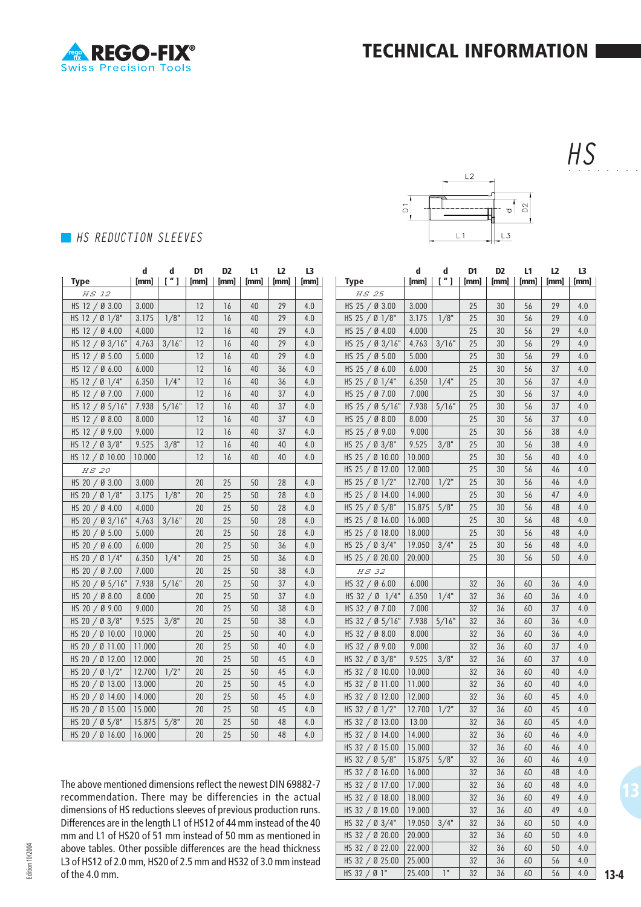$L<sub>2</sub>$ 

 $L<sub>1</sub>$ 

 $\overline{\circ}$ 

 $D<sup>2</sup>$ 

 $\sigma$ 

 $L3$ 



#### *HS* ○○○○○○○○

### *HS REDUCTION SLEEVES*

|                 | d      | d                            | D1 | D <sub>2</sub> | L1 | L2                        | L3  |
|-----------------|--------|------------------------------|----|----------------|----|---------------------------|-----|
| Type            |        | $[mm] \mid$ ["] $ $ [mm] $ $ |    |                |    | [mm]   [mm]   [mm]   [mm] |     |
| HS 12           |        |                              |    |                |    |                           |     |
| HS 12 / Ø 3.00  | 3.000  |                              | 12 | 16             | 40 | 29                        | 4.0 |
| HS 12 / Ø 1/8"  | 3.175  | 1/8"                         | 12 | 16             | 40 | 29                        | 4.0 |
| HS 12 / Ø 4.00  | 4.000  |                              | 12 | 16             | 40 | 29                        | 4.0 |
| HS 12 / Ø 3/16" | 4.763  | 3/16"                        | 12 | 16             | 40 | 29                        | 4.0 |
| HS 12 / Ø 5.00  | 5.000  |                              | 12 | 16             | 40 | 29                        | 4.0 |
| HS 12 / Ø 6.00  | 6.000  |                              | 12 | 16             | 40 | 36                        | 4.0 |
| HS 12 / Ø 1/4"  | 6.350  | 1/4"                         | 12 | 16             | 40 | 36                        | 4.0 |
| HS 12 / Ø 7.00  | 7.000  |                              | 12 | 16             | 40 | 37                        | 4.0 |
| HS 12 / Ø 5/16" | 7.938  | 5/16"                        | 12 | 16             | 40 | 37                        | 4.0 |
| HS 12 / Ø 8.00  | 8.000  |                              | 12 | 16             | 40 | 37                        | 4.0 |
| HS 12 / Ø 9.00  | 9.000  |                              | 12 | 16             | 40 | 37                        | 4.0 |
| HS 12 / Ø 3/8"  | 9.525  | 3/8"                         | 12 | 16             | 40 | 40                        | 4.0 |
| HS 12 / Ø 10.00 | 10.000 |                              | 12 | 16             | 40 | 40                        | 4.0 |
| HS 20           |        |                              |    |                |    |                           |     |
| HS 20 / Ø 3.00  | 3.000  |                              | 20 | 25             | 50 | 28                        | 4.0 |
| HS 20 / Ø 1/8"  | 3.175  | 1/8"                         | 20 | 25             | 50 | 28                        | 4.0 |
| HS 20 / Ø 4.00  | 4.000  |                              | 20 | 25             | 50 | 28                        | 4.0 |
| HS 20 / 0 3/16" | 4.763  | 3/16"                        | 20 | 25             | 50 | 28                        | 4.0 |
| HS 20 / Ø 5.00  | 5.000  |                              | 20 | 25             | 50 | 28                        | 4.0 |
| HS 20 / Ø 6.00  | 6.000  |                              | 20 | 25             | 50 | 36                        | 4.0 |
| HS 20 / Ø 1/4"  | 6.350  | 1/4"                         | 20 | 25             | 50 | 36                        | 4.0 |
| HS 20 / Ø 7.00  | 7.000  |                              | 20 | 25             | 50 | 38                        | 4.0 |
| HS 20 / Ø 5/16" | 7.938  | 5/16"                        | 20 | 25             | 50 | 37                        | 4.0 |
| HS 20 / Ø 8.00  | 8.000  |                              | 20 | 25             | 50 | 37                        | 4.0 |
| HS 20 / Ø 9.00  | 9.000  |                              | 20 | 25             | 50 | 38                        | 4.0 |
| HS 20 / Ø 3/8"  | 9.525  | 3/8"                         | 20 | 25             | 50 | 38                        | 4.0 |
| HS 20 / Ø 10.00 | 10.000 |                              | 20 | 25             | 50 | 40                        | 4.0 |
| HS 20 / Ø 11.00 | 11.000 |                              | 20 | 25             | 50 | 40                        | 4.0 |
| HS 20 / Ø 12.00 | 12.000 |                              | 20 | 25             | 50 | 45                        | 4.0 |
| HS 20 / Ø 1/2"  | 12.700 | 1/2"                         | 20 | 25             | 50 | 45                        | 4.0 |
| HS 20 / Ø 13.00 | 13.000 |                              | 20 | 25             | 50 | 45                        | 4.0 |
| HS 20 / Ø 14.00 | 14.000 |                              | 20 | 25             | 50 | 45                        | 4.0 |
| HS 20 / Ø 15.00 | 15.000 |                              | 20 | 25             | 50 | 45                        | 4.0 |
| HS 20 / Ø 5/8"  | 15.875 | 5/8"                         | 20 | 25             | 50 | 48                        | 4.0 |
| HS 20 / Ø 16.00 | 16.000 |                              | 20 | 25             | 50 | 48                        | 4.0 |

The above mentioned dimensions reflect the newest DIN 69882-7 recommendation. There may be differencies in the actual dimensions of HS reductions sleeves of previous production runs. Differences are in the length L1 of HS12 of 44 mm instead of the 40 mm and L1 of HS20 of 51 mm instead of 50 mm as mentioned in above tables. Other possible differences are the head thickness L3 of HS12 of 2.0 mm, HS20 of 2.5 mm and HS32 of 3.0 mm instead of the 4.0 mm.

|                   | d      | d                   | D1   | D <sub>2</sub> | L1   | L <sub>2</sub> | L3   |
|-------------------|--------|---------------------|------|----------------|------|----------------|------|
| Type              | [mm]   | $\lceil$ " $\rceil$ | [mm] | [mm]           | [mm] | [mm]           | [mm] |
| HS 25             |        |                     |      |                |      |                |      |
| HS 25 $/$ Ø 3.00  | 3.000  |                     | 25   | 30             | 56   | 29             | 4.0  |
| HS 25 / Ø 1/8"    | 3.175  | 1/8"                | 25   | 30             | 56   | 29             | 4.0  |
| HS 25 / Ø 4.00    | 4.000  |                     | 25   | 30             | 56   | 29             | 4.0  |
| HS 25 / Ø 3/16"   | 4.763  | 3/16"               | 25   | 30             | 56   | 29             | 4.0  |
| HS 25 / Ø 5.00    | 5.000  |                     | 25   | 30             | 56   | 29             | 4.0  |
| HS 25 / Ø 6.00    | 6.000  |                     | 25   | 30             | 56   | 37             | 4.0  |
| HS 25 / Ø 1/4"    | 6.350  | 1/4"                | 25   | 30             | 56   | 37             | 4.0  |
| HS 25 / Ø 7.00    | 7.000  |                     | 25   | 30             | 56   | 37             | 4.0  |
| HS 25 / Ø 5/16"   | 7.938  | 5/16"               | 25   | 30             | 56   | 37             | 4.0  |
| HS 25 / Ø 8.00    | 8.000  |                     | 25   | 30             | 56   | 37             | 4.0  |
| HS 25 $/$ Ø 9.00  | 9.000  |                     | 25   | 30             | 56   | 38             | 4.0  |
| HS 25 / Ø 3/8"    | 9.525  | 3/8"                | 25   | 30             | 56   | 38             | 4.0  |
| HS 25 / Ø 10.00   | 10.000 |                     | 25   | 30             | 56   | 40             | 4.0  |
| HS 25 / Ø 12.00   | 12.000 |                     | 25   | 30             | 56   | 46             | 4.0  |
| HS 25 / Ø $1/2$ " | 12.700 | 1/2"                | 25   | 30             | 56   | 46             | 4.0  |
| HS 25 / Ø 14.00   | 14.000 |                     | 25   | 30             | 56   | 47             | 4.0  |
| HS 25 / Ø 5/8"    | 15.875 | 5/8"                | 25   | 30             | 56   | 48             | 4.0  |
| HS 25 / Ø 16.00   | 16.000 |                     | 25   | 30             | 56   | 48             | 4.0  |
| HS 25 / Ø 18.00   | 18.000 |                     | 25   | 30             | 56   | 48             | 4.0  |
| HS 25 / Ø 3/4"    | 19.050 | 3/4"                | 25   | 30             | 56   | 48             | 4.0  |
| HS 25 / Ø 20.00   | 20.000 |                     | 25   | 30             | 56   | 50             | 4.0  |
| <i>HS 32</i>      |        |                     |      |                |      |                |      |
| HS 32 $/$ Ø 6.00  | 6.000  |                     | 32   | 36             | 60   | 36             | 4.0  |
| HS 32 / Ø $1/4"$  | 6.350  | 1/4"                | 32   | 36             | 60   | 36             | 4.0  |
| HS 32 / Ø 7.00    | 7.000  |                     | 32   | 36             | 60   | 37             | 4.0  |
| HS 32 / Ø 5/16"   | 7.938  | 5/16"               | 32   | 36             | 60   | 36             | 4.0  |
| HS 32 / Ø 8.00    | 8.000  |                     | 32   | 36             | 60   | 36             | 4.0  |
| HS 32 / Ø 9.00    | 9.000  |                     | 32   | 36             | 60   | 37             | 4.0  |
| HS 32 / Ø 3/8"    | 9.525  | 3/8"                | 32   | 36             | 60   | 37             | 4.0  |
| HS 32 / Ø 10.00   | 10.000 |                     | 32   | 36             | 60   | 40             | 4.0  |
| HS 32 / Ø 11.00   | 11.000 |                     | 32   | 36             | 60   | 40             | 4.0  |
|                   |        |                     | 32   |                |      | 45             |      |
| HS 32 / Ø 12.00   | 12.000 |                     |      | 36             | 60   |                | 4.0  |
| HS 32 / Ø 1/2"    | 12.700 | 1/2"                | 32   | 36             | 60   | 45             | 4.0  |
| HS 32 / Ø 13.00   | 13.00  |                     | 32   | 36             | 60   | 45             | 4.0  |
| HS 32 / Ø 14.00   | 14.000 |                     | 32   | 36             | 60   | 46             | 4.0  |
| HS 32 $/$ Ø 15.00 | 15.000 |                     | 32   | 36             | 60   | 46             | 4.0  |
| HS 32 / Ø 5/8"    | 15.875 | 5/8"                | 32   | 36             | 60   | 46             | 4.0  |
| HS 32 / Ø 16.00   | 16.000 |                     | 32   | 36             | 60   | 48             | 4.0  |
| HS 32 / Ø 17.00   | 17.000 |                     | 32   | 36             | 60   | 48             | 4.0  |
| HS 32 / Ø 18.00   | 18.000 |                     | 32   | 36             | 60   | 49             | 4.0  |
| HS 32 / Ø 19.00   | 19.000 |                     | 32   | 36             | 60   | 49             | 4.0  |
| HS 32 / Ø 3/4"    | 19.050 | 3/4"                | 32   | 36             | 60   | 50             | 4.0  |
| HS 32 / Ø 20.00   | 20.000 |                     | 32   | 36             | 60   | 50             | 4.0  |
| HS 32 / Ø 22.00   | 22.000 |                     | 32   | 36             | 60   | 50             | 4.0  |
| HS 32 / Ø 25.00   | 25.000 |                     | 32   | 36             | 60   | 56             | 4.0  |
| HS 32 / Ø 1"      | 25.400 | $\mathsf{I}$ "      | 32   | 36             | 60   | 56             | 4.0  |

Edition 10/2004 Edition 10/2004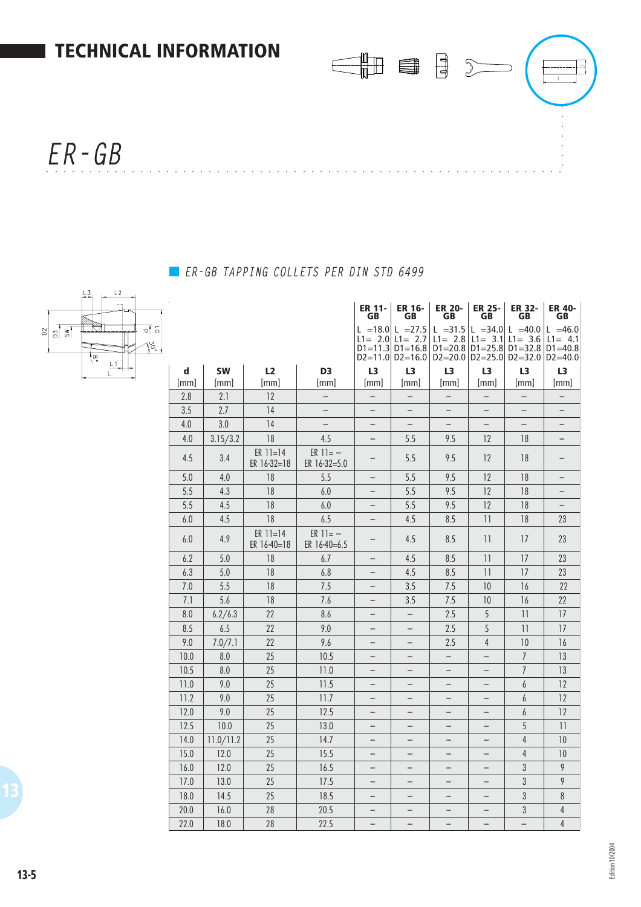

## *ER-GB TAPPING COLLETS PER DIN STD 6499*



|             |           |                           |                               | $D1 = 11.3$              | L = 18.0 L = 27.5<br>$L1 = 2.0$ $L1 = 2.7$<br>$D1 = 16.8$<br>$D2=11.0$ $D2=16.0$ | $L1 = 2.8$<br>$D1 = 20.8$ $D1 = 25.8$<br>$D2=20.0$ $D2=25.0$ |                          | L =31.5 L =34.0 L =40.0<br>L1= $3.1$ L1= 3.6<br>$D1 = 32.8$<br>$D2 = 32.0$ | $L = 46.0$<br>$L1 = 4.1$<br>$D1 = 40.8$<br>$D2 = 40.0$ |
|-------------|-----------|---------------------------|-------------------------------|--------------------------|----------------------------------------------------------------------------------|--------------------------------------------------------------|--------------------------|----------------------------------------------------------------------------|--------------------------------------------------------|
| $\mathbf d$ | <b>SW</b> | L2                        | D <sub>3</sub>                | L3                       | L3                                                                               | L3                                                           | L3                       | L3                                                                         | L <sub>3</sub>                                         |
| [mm]        | [mm]      | [mm]                      | [mm]                          | [mm]                     | [mm]                                                                             | [mm]                                                         | [mm]                     | [mm]                                                                       | [mm]                                                   |
| 2.8         | 2.1       | 12                        |                               | $\overline{\phantom{0}}$ | $\overline{\phantom{0}}$                                                         | $\overline{a}$                                               | $\overline{\phantom{0}}$ |                                                                            |                                                        |
| 3.5         | 2.7       | 14                        | -                             | $\overline{\phantom{0}}$ | $\qquad \qquad -$                                                                | $\overline{\phantom{0}}$                                     | $\overline{\phantom{0}}$ | $\overline{\phantom{0}}$                                                   | $\overline{\phantom{0}}$                               |
| 4.0         | 3.0       | 14                        |                               |                          | $\qquad \qquad -$                                                                |                                                              |                          | -                                                                          | -                                                      |
| 4.0         | 3.15/3.2  | 18                        | 4.5                           |                          | 5.5                                                                              | 9.5                                                          | 12                       | 18                                                                         | -                                                      |
| 4.5         | 3.4       | $ER 11=14$<br>ER 16-32=18 | $ER 11 = -$<br>ER 16-32=5.0   | -                        | 5.5                                                                              | 9.5                                                          | 12                       | 18                                                                         |                                                        |
| 5.0         | 4.0       | 18                        | 5.5                           |                          | 5.5                                                                              | 9.5                                                          | 12                       | 18                                                                         | -                                                      |
| 5.5         | 4.3       | 18                        | 6.0                           |                          | 5.5                                                                              | 9.5                                                          | 12                       | 18                                                                         | -                                                      |
| 5.5         | 4.5       | 18                        | 6.0                           | $\overline{\phantom{0}}$ | 5.5                                                                              | 9.5                                                          | 12                       | 18                                                                         |                                                        |
| 6.0         | 4.5       | 18                        | 6.5                           |                          | 4.5                                                                              | 8.5                                                          | $\overline{11}$          | 18                                                                         | 23                                                     |
| 6.0         | 4.9       | $ER 11=14$<br>ER 16-40=18 | $ER 11 = -$<br>ER $16-40=6.5$ |                          | 4.5                                                                              | 8.5                                                          | 11                       | 17                                                                         | 23                                                     |
| 6.2         | 5.0       | 18                        | 6.7                           | -                        | 4.5                                                                              | 8.5                                                          | 11                       | 17                                                                         | 23                                                     |
| 6.3         | 5.0       | 18                        | 6.8                           | -                        | 4.5                                                                              | 8.5                                                          | $\overline{11}$          | 17                                                                         | 23                                                     |
| 7.0         | 5.5       | 18                        | 7.5                           | -                        | 3.5                                                                              | 7.5                                                          | 10                       | 16                                                                         | 22                                                     |
| 7.1         | 5.6       | 18                        | 7.6                           | $\qquad \qquad$          | 3.5                                                                              | 7.5                                                          | 10                       | 16                                                                         | 22                                                     |
| 8.0         | 6.2/6.3   | 22                        | 8.6                           | -                        | $\qquad \qquad -$                                                                | 2.5                                                          | 5                        | $\overline{11}$                                                            | 17                                                     |
| 8.5         | 6.5       | 22                        | 9.0                           | $\qquad \qquad$          | $\qquad \qquad -$                                                                | 2.5                                                          | 5                        | 11                                                                         | 17                                                     |
| 9.0         | 7.0/7.1   | 22                        | 9.6                           | -                        | $\qquad \qquad -$                                                                | 2.5                                                          | $\overline{4}$           | 10                                                                         | 16                                                     |
| 10.0        | 8.0       | 25                        | 10.5                          | -                        | $\qquad \qquad -$                                                                | $\overline{a}$                                               | $\overline{\phantom{0}}$ | $\overline{1}$                                                             | 13                                                     |
| 10.5        | 8.0       | 25                        | 11.0                          | -                        | $\qquad \qquad -$                                                                |                                                              | $\overline{\phantom{0}}$ | $\overline{1}$                                                             | 13                                                     |
| 11.0        | 9.0       | 25                        | 11.5                          | -                        | $\qquad \qquad -$                                                                | $\overline{\phantom{0}}$                                     | -                        | 6                                                                          | 12                                                     |
| 11.2        | 9.0       | 25                        | 11.7                          | $\overline{\phantom{0}}$ | $\overline{\phantom{0}}$                                                         | $\overline{\phantom{0}}$                                     | $\overline{\phantom{0}}$ | 6                                                                          | 12                                                     |
| 12.0        | 9.0       | 25                        | 12.5                          | $\overline{\phantom{0}}$ | $\overline{\phantom{0}}$                                                         | $\overline{\phantom{0}}$                                     | $\overline{\phantom{0}}$ | 6                                                                          | 12                                                     |
| 12.5        | 10.0      | 25                        | 13.0                          | $\qquad \qquad$          | $\qquad \qquad -$                                                                | $\qquad \qquad -$                                            | $\overline{\phantom{0}}$ | 5                                                                          | $\overline{11}$                                        |
| 14.0        | 11.0/11.2 | 25                        | 14.7                          | $\qquad \qquad$          | $\overline{\phantom{0}}$                                                         | $\overline{\phantom{0}}$                                     |                          | $\overline{4}$                                                             | 10                                                     |
| 15.0        | 12.0      | 25                        | 15.5                          | $\qquad \qquad$          | $\qquad \qquad -$                                                                | $\overline{\phantom{0}}$                                     | $\overline{\phantom{0}}$ | $\overline{4}$                                                             | 10                                                     |
| 16.0        | 12.0      | 25                        | 16.5                          | $\overline{\phantom{0}}$ | $\qquad \qquad -$                                                                | $\overline{\phantom{0}}$                                     |                          | 3                                                                          | 9                                                      |
| 17.0        | 13.0      | 25                        | 17.5                          | -                        | $\qquad \qquad -$                                                                | -                                                            | -                        | 3                                                                          | 9                                                      |
| 18.0        | 14.5      | 25                        | 18.5                          |                          | $\qquad \qquad -$                                                                | $\overline{\phantom{0}}$                                     | -                        | 3                                                                          | $8\,$                                                  |
| 20.0        | 16.0      | 28                        | 20.5                          | -                        | $\qquad \qquad -$                                                                | -                                                            | -                        | 3                                                                          | $\overline{4}$                                         |
| 22.0        | 18.0      | 28                        | 22.5                          |                          |                                                                                  |                                                              |                          |                                                                            | $\overline{4}$                                         |

**ER 11- GB ER 16- GB ER 20- GB ER 25- GB ER 32- GB ER 40- GB**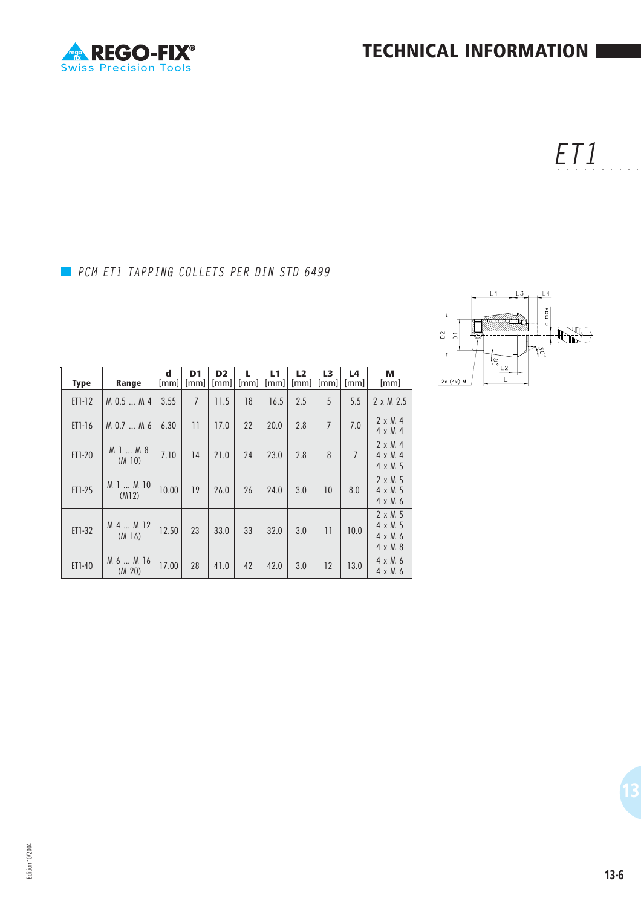J.

*ET1* ○○○○○○○○○○

## *PCM ET1 TAPPING COLLETS PER DIN STD 6499*



| <b>Type</b> | Range                 | $\mathbf d$<br>[mm] | D <sub>1</sub><br>[mm] | D <sub>2</sub><br>[mm] | [mm] | L1<br>[mm] | L2<br>[mm] | L3<br>[mm] | L4<br>[mm]     | м<br>[mm]                                                           |
|-------------|-----------------------|---------------------|------------------------|------------------------|------|------------|------------|------------|----------------|---------------------------------------------------------------------|
| ET1-12      | $M$ 0.5 $M$ 4         | 3.55                | $\overline{7}$         | 11.5                   | 18   | 16.5       | 2.5        | 5          | 5.5            | $2 \times M$ 2.5                                                    |
| $ET1-16$    | M 0.7  M 6            | 6.30                | $\overline{11}$        | 17.0                   | 22   | 20.0       | 2.8        | 7          | 7.0            | $2 \times M4$<br>$4 \times M4$                                      |
| ET1-20      | M 1  M 8<br>(M 10)    | 7.10                | 14                     | 21.0                   | 24   | 23.0       | 2.8        | 8          | $\overline{7}$ | $2 \times M$ 4<br>$4 \times M$ 4<br>$4 \times M$ 5                  |
| ET1-25      | M 1  M 10<br>(M12)    | 10.00               | 19                     | 26.0                   | 26   | 24.0       | 3.0        | 10         | 8.0            | $2 \times M$ 5<br>$4 \times M$ 5<br>$4 \times M$ 6                  |
| ET1-32      | M 4  M 12<br>$(M_16)$ | 12.50               | 23                     | 33.0                   | 33   | 32.0       | 3.0        | 11         | 10.0           | $2 \times M$ 5<br>$4 \times M$ 5<br>$4 \times M$ 6<br>$4 \times M8$ |
| ET1-40      | M 6  M 16<br>(M 20)   | 17.00               | 28                     | 41.0                   | 42   | 42.0       | 3.0        | 12         | 13.0           | $4 \times M$ 6<br>$4 \times M$ 6                                    |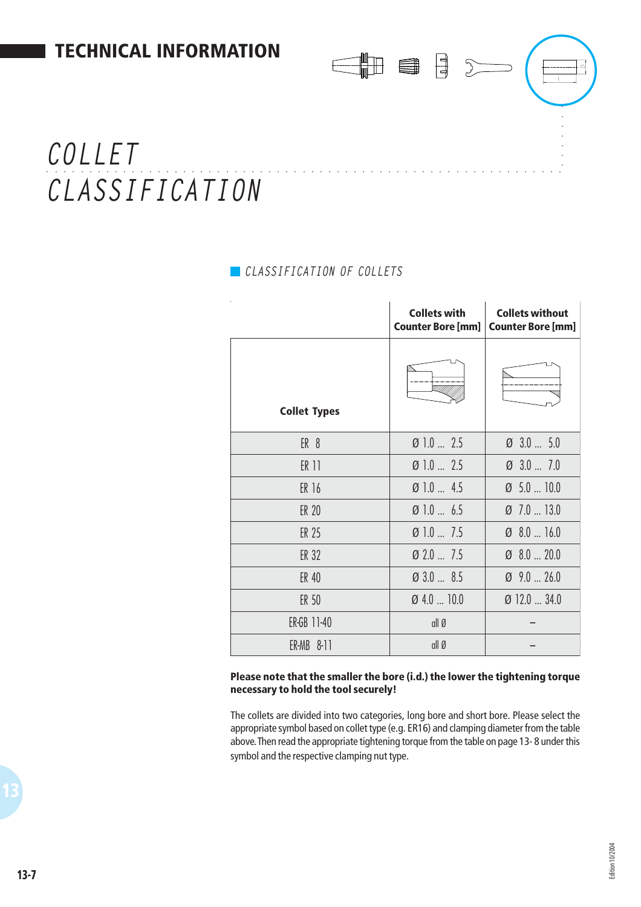# ○○○○ ○○○○○○○○○○○○○○○○○○○○○○○○○○○○○○○○○○○○○○○○○○○○○○○○○○○○○○○○○ *COLLET CLASSIFICATION*

## *CLASSIFICATION OF COLLETS*

|                     | <b>Collets with</b><br><b>Counter Bore [mm]</b> | <b>Collets without</b><br><b>Counter Bore [mm]</b> |
|---------------------|-------------------------------------------------|----------------------------------------------------|
| <b>Collet Types</b> | ⅏                                               |                                                    |
| ER <sub>8</sub>     | $\emptyset$ 1.0  2.5                            | $\varnothing$ 3.0  5.0                             |
| ER 11               | $\varnothing$ 1.0  2.5                          | $\varnothing$ 3.0  7.0                             |
| ER 16               | $\emptyset$ 1.0  4.5                            | $\varnothing$ 5.0  10.0                            |
| ER 20               | $\emptyset$ 1.0  6.5                            | $\varnothing$ 7.0  13.0                            |
| ER 25               | $\emptyset$ 1.0  7.5                            | $\varnothing$ 8.0  16.0                            |
| <b>ER 32</b>        | $\varnothing$ 2.0  7.5                          | $\varnothing$ 8.0  20.0                            |
| ER 40               | 0 3.0  8.5                                      | $\varnothing$ 9.0  26.0                            |
| ER 50               | $Ø$ 4.0  10.0                                   | $\emptyset$ 12.0  34.0                             |
| ER-GB 11-40         | all Ø                                           |                                                    |
| ER-MB 8-11          | all Ø                                           |                                                    |

the de

#### **Please note that the smaller the bore (i.d.) the lower the tightening torque necessary to hold the tool securely!**

The collets are divided into two categories, long bore and short bore. Please select the appropriate symbol based on collet type (e.g. ER16) and clamping diameter from the table above. Then read the appropriate tightening torque from the table on page 13- 8 under this symbol and the respective clamping nut type.

○○○○○○○

 $\overline{\phantom{a}}$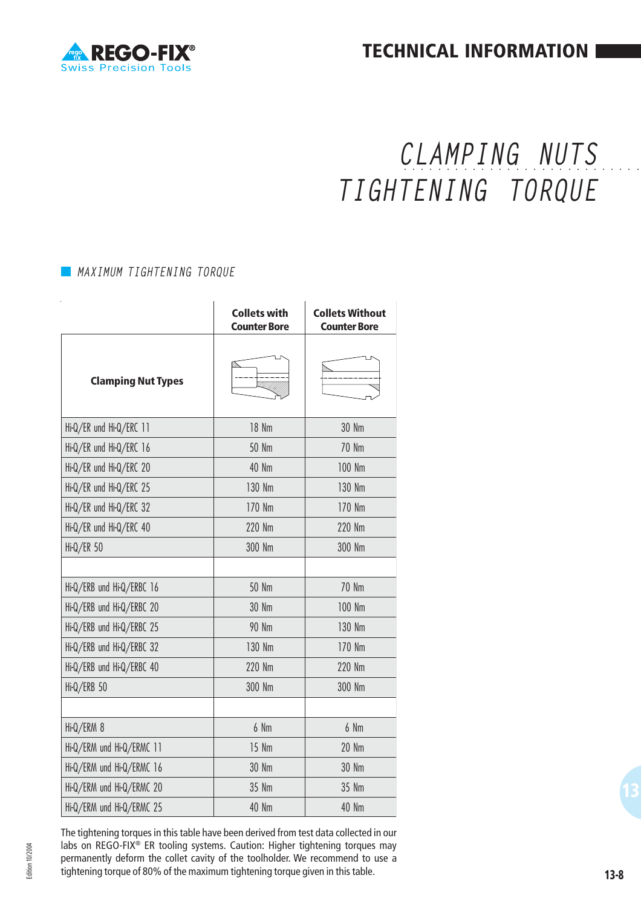

**TECHNICAL INFORMATION**

# ○○○○○○○○○○○○○○○○○○○ ○○○○○○○○○ *CLAMPING NUTS TIGHTENING TORQUE*

#### *MAXIMUM TIGHTENING TORQUE*

|                           | <b>Collets with</b><br>Counter Bore | <b>Collets Without</b><br><b>Counter Bore</b> |
|---------------------------|-------------------------------------|-----------------------------------------------|
| <b>Clamping Nut Types</b> |                                     |                                               |
| Hi-Q/ER und Hi-Q/ERC 11   | 18 Nm                               | 30 Nm                                         |
| Hi-Q/ER und Hi-Q/ERC 16   | <b>50 Nm</b>                        | 70 Nm                                         |
| Hi-Q/ER und Hi-Q/ERC 20   | 40 Nm                               | 100 Nm                                        |
| Hi-Q/ER und Hi-Q/ERC 25   | 130 Nm                              | 130 Nm                                        |
| Hi-Q/ER und Hi-Q/ERC 32   | 170 Nm                              | 170 Nm                                        |
| Hi-Q/ER und Hi-Q/ERC 40   | 220 Nm                              | 220 Nm                                        |
| Hi-Q/ER 50                | 300 Nm                              | 300 Nm                                        |
|                           |                                     |                                               |
| Hi-Q/ERB und Hi-Q/ERBC 16 | <b>50 Nm</b>                        | <b>70 Nm</b>                                  |
| Hi-Q/ERB und Hi-Q/ERBC 20 | 30 Nm                               | 100 Nm                                        |
| Hi-Q/ERB und Hi-Q/ERBC 25 | <b>90 Nm</b>                        | 130 Nm                                        |
| Hi-Q/ERB und Hi-Q/ERBC 32 | 130 Nm                              | 170 Nm                                        |
| Hi-Q/ERB und Hi-Q/ERBC 40 | 220 Nm                              | 220 Nm                                        |
| Hi-Q/ERB 50               | 300 Nm                              | 300 Nm                                        |
|                           |                                     |                                               |
| Hi-Q/ERM 8                | 6 Nm                                | 6 Nm                                          |
| Hi-Q/ERM und Hi-Q/ERMC 11 | 15 Nm                               | <b>20 Nm</b>                                  |
| Hi-Q/ERM und Hi-Q/ERMC 16 | 30 Nm                               | 30 Nm                                         |
| Hi-Q/ERM und Hi-Q/ERMC 20 | 35 Nm                               | 35 Nm                                         |
| Hi-Q/ERM und Hi-Q/ERMC 25 | 40 Nm                               | 40 Nm                                         |

The tightening torques in this table have been derived from test data collected in our labs on REGO-FIX® ER tooling systems. Caution: Higher tightening torques may permanently deform the collet cavity of the toolholder. We recommend to use a tightening torque of 80% of the maximum tightening torque given in this table.